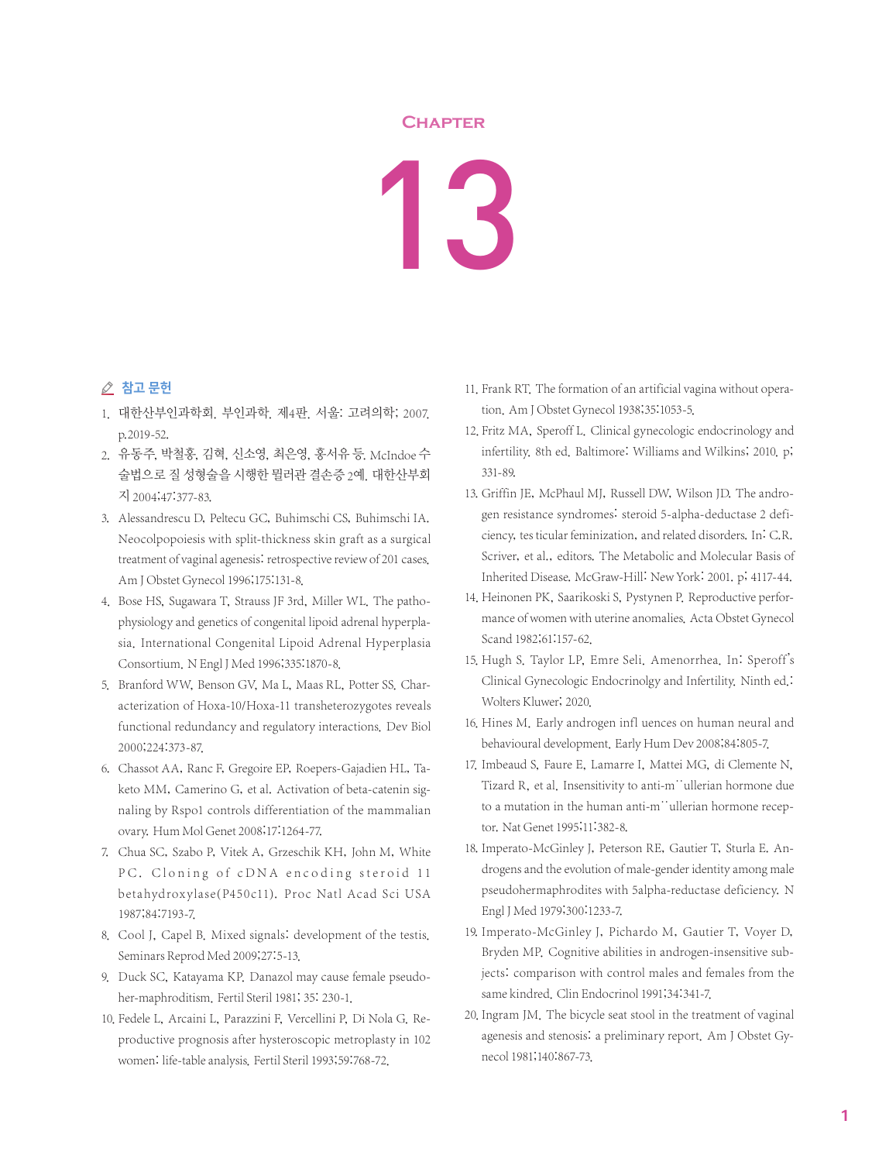## **Chapter**

## 13

## ⊘ 참고 문헌

- 1. 대한산부인과학회. 부인과학. 제4판. 서울: 고려의학; 2007. p.2019-52.
- 2. 유동주, 박철홍, 김혁, 신소영, 최은영, 홍서유 등. McIndoe 수 술법으로 질 성형술을 시행한 뮐러관 결손증 2예. 대한산부회 지 2004;47:377-83.
- 3. Alessandrescu D, Peltecu GC, Buhimschi CS, Buhimschi IA. Neocolpopoiesis with split-thickness skin graft as a surgical treatment of vaginal agenesis: retrospective review of 201 cases. Am J Obstet Gynecol 1996;175:131-8.
- 4. Bose HS, Sugawara T, Strauss JF 3rd, Miller WL. The pathophysiology and genetics of congenital lipoid adrenal hyperplasia. International Congenital Lipoid Adrenal Hyperplasia Consortium. N Engl J Med 1996;335:1870-8.
- 5. Branford WW, Benson GV, Ma L, Maas RL, Potter SS, Characterization of Hoxa-10/Hoxa-11 transheterozygotes reveals functional redundancy and regulatory interactions. Dev Biol 2000;224:373-87.
- 6. Chassot AA, Ranc F, Gregoire EP, Roepers-Gajadien HL, Taketo MM, Camerino G, et al. Activation of beta-catenin signaling by Rspo1 controls differentiation of the mammalian ovary. Hum Mol Genet 2008;17:1264-77.
- 7. Chua SC, Szabo P, Vitek A, Grzeschik KH, John M, White PC. Cloning of cDNA encoding steroid 11 beta hyd rox ylase(P450c11). Proc Natl Acad Sci USA 1987;84:7193-7.
- 8. Cool J, Capel B. Mixed signals: development of the testis. Seminars Reprod Med 2009;27:5-13.
- 9. Duck SC, Katayama KP. Danazol may cause female pseudoher-maphroditism. Fertil Steril 1981; 35: 230-1.
- 10. Fedele L, Arcaini L, Parazzini F, Vercellini P, Di Nola G. Reproductive prognosis after hysteroscopic metroplasty in 102 women: life-table analysis. Fertil Steril 1993;59:768-72.
- 11. Frank RT. The formation of an artificial vagina without operation. Am J Obstet Gynecol 1938;35:1053-5.
- 12. Fritz MA, Speroff L. Clinical gynecologic endocrinology and infertility. 8th ed. Baltimore: Williams and Wilkins; 2010. p; 331-89.
- 13. Griffin JE, McPhaul MJ, Russell DW, Wilson JD. The androgen resistance syndromes: steroid 5-alpha-deductase 2 deficiency, tes ticular feminization, and related disorders. In: C.R. Scriver, et al., editors. The Metabolic and Molecular Basis of Inherited Disease. McGraw-Hill: New York: 2001. p; 4117-44.
- 14. Heinonen PK, Saarikoski S, Pystynen P. Reproductive performance of women with uterine anomalies. Acta Obstet Gynecol Scand 1982;61:157-62.
- 15. Hugh S. Taylor LP, Emre Seli. Amenorrhea. In: Speroff's Clinical Gynecologic Endocrinolgy and Infertility. Ninth ed.: Wolters Kluwer; 2020.
- 16. Hines M. Early androgen infl uences on human neural and behavioural development. Early Hum Dev 2008;84:805-7.
- 17. Imbeaud S, Faure E, Lamarre I, Mattei MG, di Clemente N, Tizard R, et al. Insensitivity to anti-m¨ullerian hormone due to a mutation in the human anti-m<sup>\*\*</sup>ullerian hormone receptor. Nat Genet 1995;11:382-8.
- 18. Imperato-McGinley J, Peterson RE, Gautier T, Sturla E. Androgens and the evolution of male-gender identity among male pseudohermaphrodites with 5alpha-reductase deficiency. N Engl J Med 1979;300:1233-7.
- 19. Imperato-McGinley J, Pichardo M, Gautier T, Voyer D, Bryden MP. Cognitive abilities in androgen-insensitive subjects: comparison with control males and females from the same kindred. Clin Endocrinol 1991;34:341-7.
- 20. Ingram JM. The bicycle seat stool in the treatment of vaginal agenesis and stenosis: a preliminary report. Am J Obstet Gynecol 1981;140:867-73.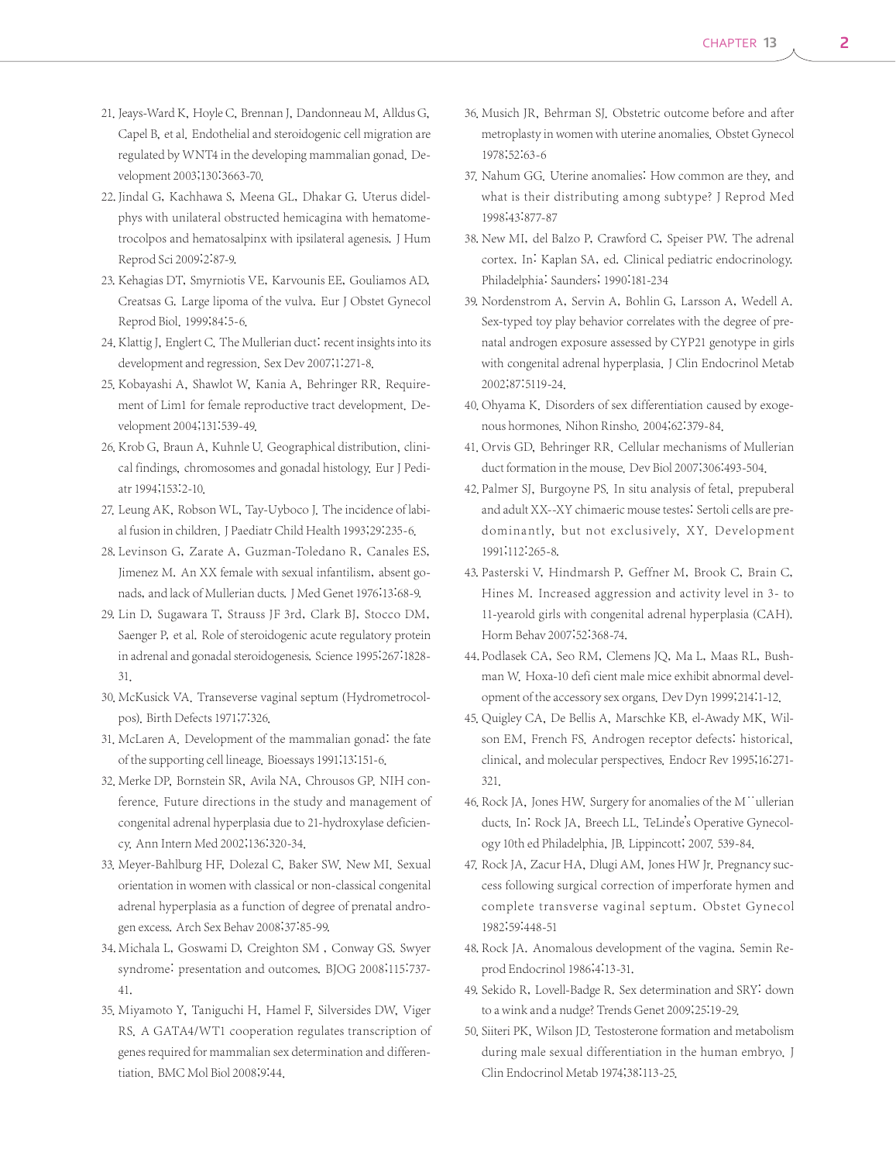- 21. Jeays-Ward K, Hoyle C, Brennan J, Dandonneau M, Alldus G, Capel B, et al. Endothelial and steroidogenic cell migration are regulated by WNT4 in the developing mammalian gonad. Development 2003;130:3663-70.
- 22. Jindal G, Kachhawa S, Meena GL, Dhakar G. Uterus didelphys with unilateral obstructed hemicagina with hematometrocolpos and hematosalpinx with ipsilateral agenesis. J Hum Reprod Sci 2009;2:87-9.
- 23. Kehagias DT, Smyrniotis VE, Karvounis EE, Gouliamos AD, Creatsas G. Large lipoma of the vulva. Eur J Obstet Gynecol Reprod Biol. 1999;84:5-6.
- 24. Klattig J, Englert C. The Mullerian duct: recent insights into its development and regression. Sex Dev 2007;1:271-8.
- 25. Kobayashi A, Shawlot W, Kania A, Behringer RR. Requirement of Lim1 for female reproductive tract development. Development 2004;131:539-49.
- 26. Krob G, Braun A, Kuhnle U. Geographical distribution, clinical findings, chromosomes and gonadal histology. Eur J Pediatr 1994;153:2-10.
- 27. Leung AK, Robson WL, Tay-Uyboco J. The incidence of labial fusion in children.J Paediatr Child Health 1993;29:235-6.
- 28. Levinson G, Zarate A, Guzman-Toledano R, Canales ES, Jimenez M. An XX female with sexual infantilism, absent gonads, and lack of Mullerian ducts.J Med Genet 1976;13:68-9.
- 29. Lin D, Sugawara T, Strauss JF 3rd, Clark BJ, Stocco DM, Saenger P, et al. Role of steroidogenic acute regulatory protein in adrenal and gonadal steroidogenesis. Science 1995;267:1828- 31.
- 30. McKusick VA. Transeverse vaginal septum (Hydrometrocolpos). Birth Defects 1971;7:326.
- 31. McLaren A. Development of the mammalian gonad: the fate of the supporting cell lineage. Bioessays 1991;13:151-6.
- 32. Merke DP, Bornstein SR, Avila NA, Chrousos GP. NIH conference. Future directions in the study and management of congenital adrenal hyperplasia due to 21-hydroxylase deficiency. Ann Intern Med 2002;136:320-34.
- 33. Meyer-Bahlburg HF, Dolezal C, Baker SW. New MI. Sexual orientation in women with classical or non-classical congenital adrenal hyperplasia as a function of degree of prenatal androgen excess. Arch Sex Behav 2008;37:85-99.
- 34. Michala L, Goswami D, Creighton SM, Conway GS. Swyer syndrome: presentation and outcomes. BJOG 2008;115:737- 41.
- 35. Miyamoto Y, Taniguchi H, Hamel F, Silversides DW, Viger RS. A GATA4/WT1 cooperation regulates transcription of genes required for mammalian sex determination and differentiation. BMC Mol Biol 2008;9:44.
- 36. Musich JR, Behrman SJ. Obstetric outcome before and after metroplasty in women with uterine anomalies. Obstet Gynecol 1978;52:63-6
- 37. Nahum GG. Uterine anomalies: How common are they, and what is their distributing among subtype? J Reprod Med 1998;43:877-87
- 38. New MI, del Balzo P, Crawford C, Speiser PW. The adrenal cortex. In: Kaplan SA, ed. Clinical pediatric endocrinology. Philadelphia: Saunders; 1990:181-234
- 39. Nordenstrom A, Servin A, Bohlin G, Larsson A, Wedell A. Sex-typed toy play behavior correlates with the degree of prenatal androgen exposure assessed by CYP21 genotype in girls with congenital adrenal hyperplasia. J Clin Endocrinol Metab 2002;87:5119-24.
- 40. Ohyama K. Disorders of sex differentiation caused by exogenous hormones. Nihon Rinsho. 2004;62:379-84.
- 41. Orvis GD, Behringer RR. Cellular mechanisms of Mullerian duct formation in the mouse. Dev Biol 2007;306:493-504.
- 42. Palmer SJ, Burgoyne PS. In situ analysis of fetal, prepuberal and adult XX--XY chimaeric mouse testes: Sertoli cells are predominantly, but not exclusively, XY. Development 1991;112:265-8.
- 43. Pasterski V, Hindmarsh P, Geffner M, Brook C, Brain C, Hines M. Increased aggression and activity level in 3- to 11-yearold girls with congenital adrenal hyperplasia (CAH). Horm Behav 2007;52:368-74.
- 44. Podlasek CA, Seo RM, Clemens JQ, Ma L, Maas RL, Bushman W. Hoxa-10 defi cient male mice exhibit abnormal development of the accessory sex organs. Dev Dyn 1999;214:1-12.
- 45. Quigley CA, De Bellis A, Marschke KB, el-Awady MK, Wilson EM, French FS. Androgen receptor defects: historical, clinical, and molecular perspectives. Endocr Rev 1995;16:271- 321.
- 46. Rock JA, Jones HW. Surgery for anomalies of the M<sup>\*\*</sup>ullerian ducts. In: Rock JA, Breech LL. TeLinde's Operative Gynecology 10th ed Philadelphia, JB. Lippincott; 2007. 539-84.
- 47. Rock JA, Zacur HA, Dlugi AM, Jones HW Jr. Pregnancy success following surgical correction of imperforate hymen and complete transverse vaginal septum. Obstet Gynecol 1982;59:448-51
- 48. Rock JA. Anomalous development of the vagina. Semin Reprod Endocrinol 1986;4:13-31.
- 49. Sekido R, Lovell-Badge R. Sex determination and SRY: down to a wink and a nudge? Trends Genet 2009;25:19-29.
- 50. Siiteri PK, Wilson JD. Testosterone formation and metabolism during male sexual differentiation in the human embryo. J Clin Endocrinol Metab 1974;38:113-25.